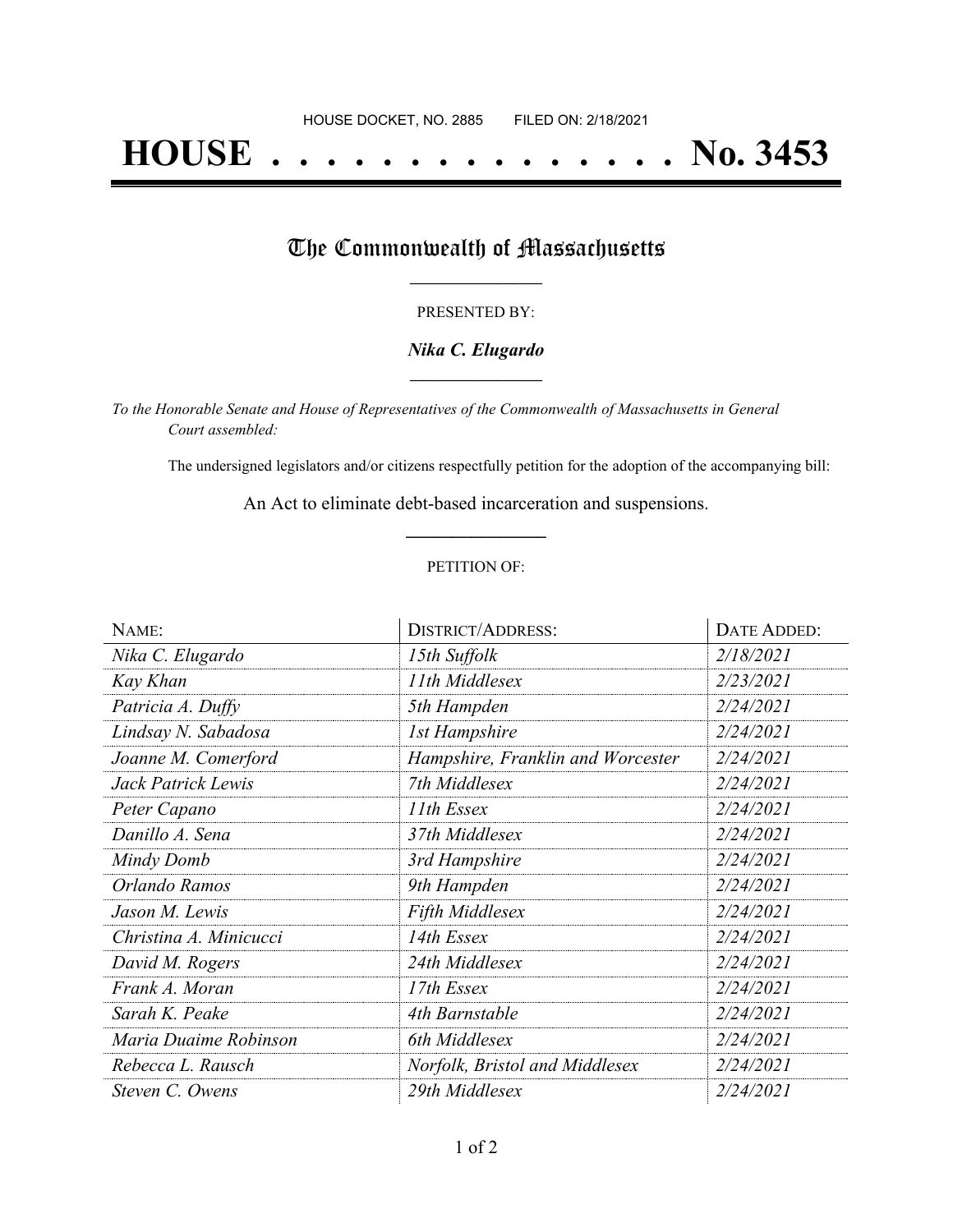# **HOUSE . . . . . . . . . . . . . . . No. 3453**

## The Commonwealth of Massachusetts

#### PRESENTED BY:

#### *Nika C. Elugardo* **\_\_\_\_\_\_\_\_\_\_\_\_\_\_\_\_\_**

*To the Honorable Senate and House of Representatives of the Commonwealth of Massachusetts in General Court assembled:*

The undersigned legislators and/or citizens respectfully petition for the adoption of the accompanying bill:

An Act to eliminate debt-based incarceration and suspensions. **\_\_\_\_\_\_\_\_\_\_\_\_\_\_\_**

#### PETITION OF:

| NAME:                  | <b>DISTRICT/ADDRESS:</b>          | DATE ADDED: |
|------------------------|-----------------------------------|-------------|
| Nika C. Elugardo       | 15th Suffolk                      | 2/18/2021   |
| Kay Khan               | 11th Middlesex                    | 2/23/2021   |
| Patricia A. Duffy      | 5th Hampden                       | 2/24/2021   |
| Lindsay N. Sabadosa    | <b>1st Hampshire</b>              | 2/24/2021   |
| Joanne M. Comerford    | Hampshire, Franklin and Worcester | 2/24/2021   |
| Jack Patrick Lewis     | 7th Middlesex                     | 2/24/2021   |
| Peter Capano           | 11th Essex                        | 2/24/2021   |
| Danillo A. Sena        | 37th Middlesex                    | 2/24/2021   |
| Mindy Domb             | 3rd Hampshire                     | 2/24/2021   |
| Orlando Ramos          | 9th Hampden                       | 2/24/2021   |
| Jason M. Lewis         | <b>Fifth Middlesex</b>            | 2/24/2021   |
| Christina A. Minicucci | 14th Essex                        | 2/24/2021   |
| David M. Rogers        | 24th Middlesex                    | 2/24/2021   |
| Frank A. Moran         | 17th Essex                        | 2/24/2021   |
| Sarah K. Peake         | 4th Barnstable                    | 2/24/2021   |
| Maria Duaime Robinson  | 6th Middlesex                     | 2/24/2021   |
| Rebecca L. Rausch      | Norfolk, Bristol and Middlesex    | 2/24/2021   |
| Steven C. Owens        | 29th Middlesex                    | 2/24/2021   |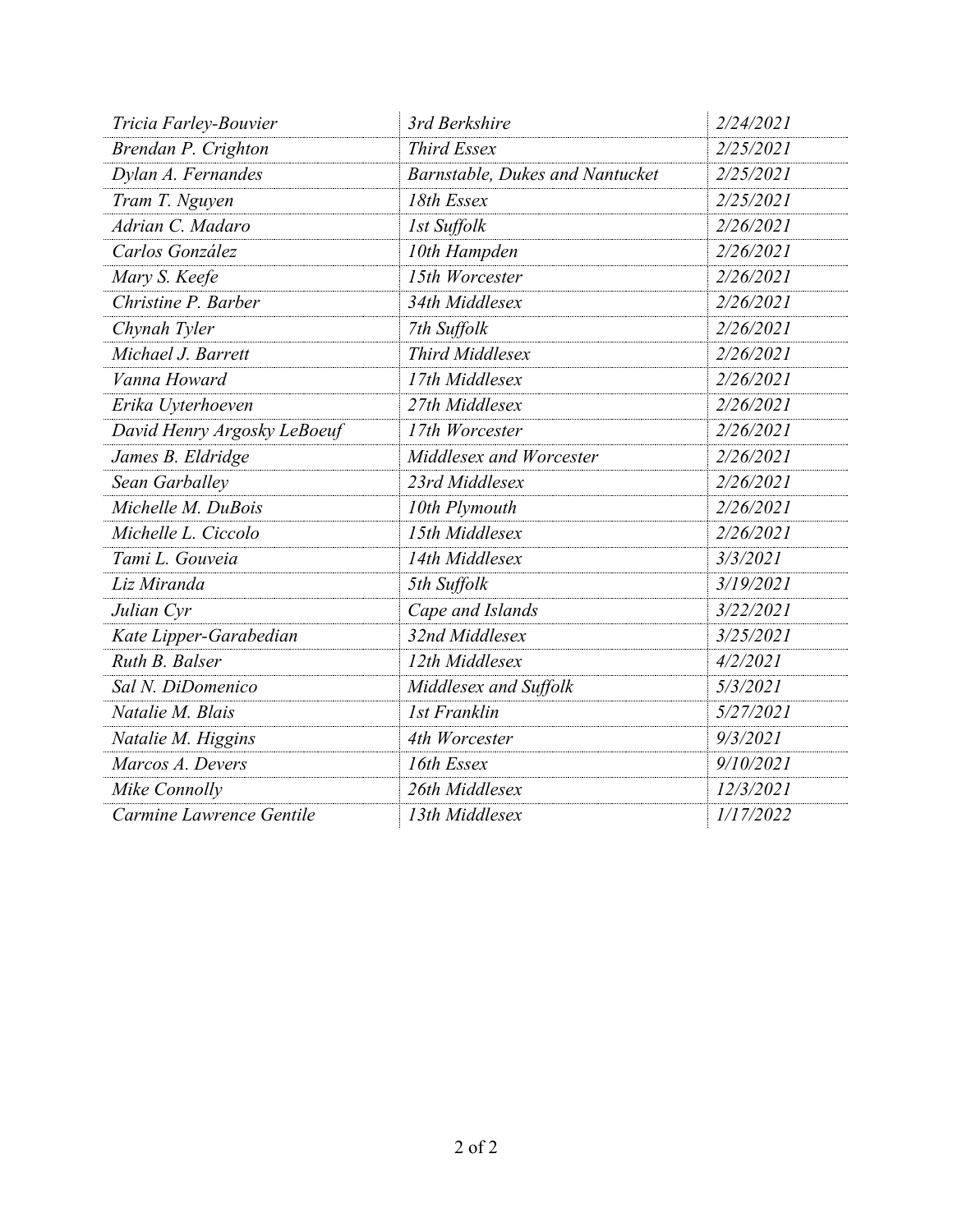| Tricia Farley-Bouvier       | 3rd Berkshire                   | 2/24/2021 |
|-----------------------------|---------------------------------|-----------|
| Brendan P. Crighton         | <b>Third Essex</b>              | 2/25/2021 |
| Dylan A. Fernandes          | Barnstable, Dukes and Nantucket | 2/25/2021 |
| Tram T. Nguyen              | 18th Essex                      | 2/25/2021 |
| Adrian C. Madaro            | 1st Suffolk                     | 2/26/2021 |
| Carlos González             | 10th Hampden                    | 2/26/2021 |
| Mary S. Keefe               | 15th Worcester                  | 2/26/2021 |
| Christine P. Barber         | 34th Middlesex                  | 2/26/2021 |
| Chynah Tyler                | 7th Suffolk                     | 2/26/2021 |
| Michael J. Barrett          | Third Middlesex                 | 2/26/2021 |
| Vanna Howard                | 17th Middlesex                  | 2/26/2021 |
| Erika Uyterhoeven           | 27th Middlesex                  | 2/26/2021 |
| David Henry Argosky LeBoeuf | 17th Worcester                  | 2/26/2021 |
| James B. Eldridge           | Middlesex and Worcester         | 2/26/2021 |
| Sean Garballey              | 23rd Middlesex                  | 2/26/2021 |
| Michelle M. DuBois          | 10th Plymouth                   | 2/26/2021 |
| Michelle L. Ciccolo         | 15th Middlesex                  | 2/26/2021 |
| Tami L. Gouveia             | 14th Middlesex                  | 3/3/2021  |
| Liz Miranda                 | 5th Suffolk                     | 3/19/2021 |
| Julian Cyr                  | Cape and Islands                | 3/22/2021 |
| Kate Lipper-Garabedian      | 32nd Middlesex                  | 3/25/2021 |
| Ruth B. Balser              | 12th Middlesex                  | 4/2/2021  |
| Sal N. DiDomenico           | Middlesex and Suffolk           | 5/3/2021  |
| Natalie M. Blais            | <b>1st Franklin</b>             | 5/27/2021 |
| Natalie M. Higgins          | 4th Worcester                   | 9/3/2021  |
| Marcos A. Devers            | 16th Essex                      | 9/10/2021 |
| Mike Connolly               | 26th Middlesex                  | 12/3/2021 |
| Carmine Lawrence Gentile    | 13th Middlesex                  | 1/17/2022 |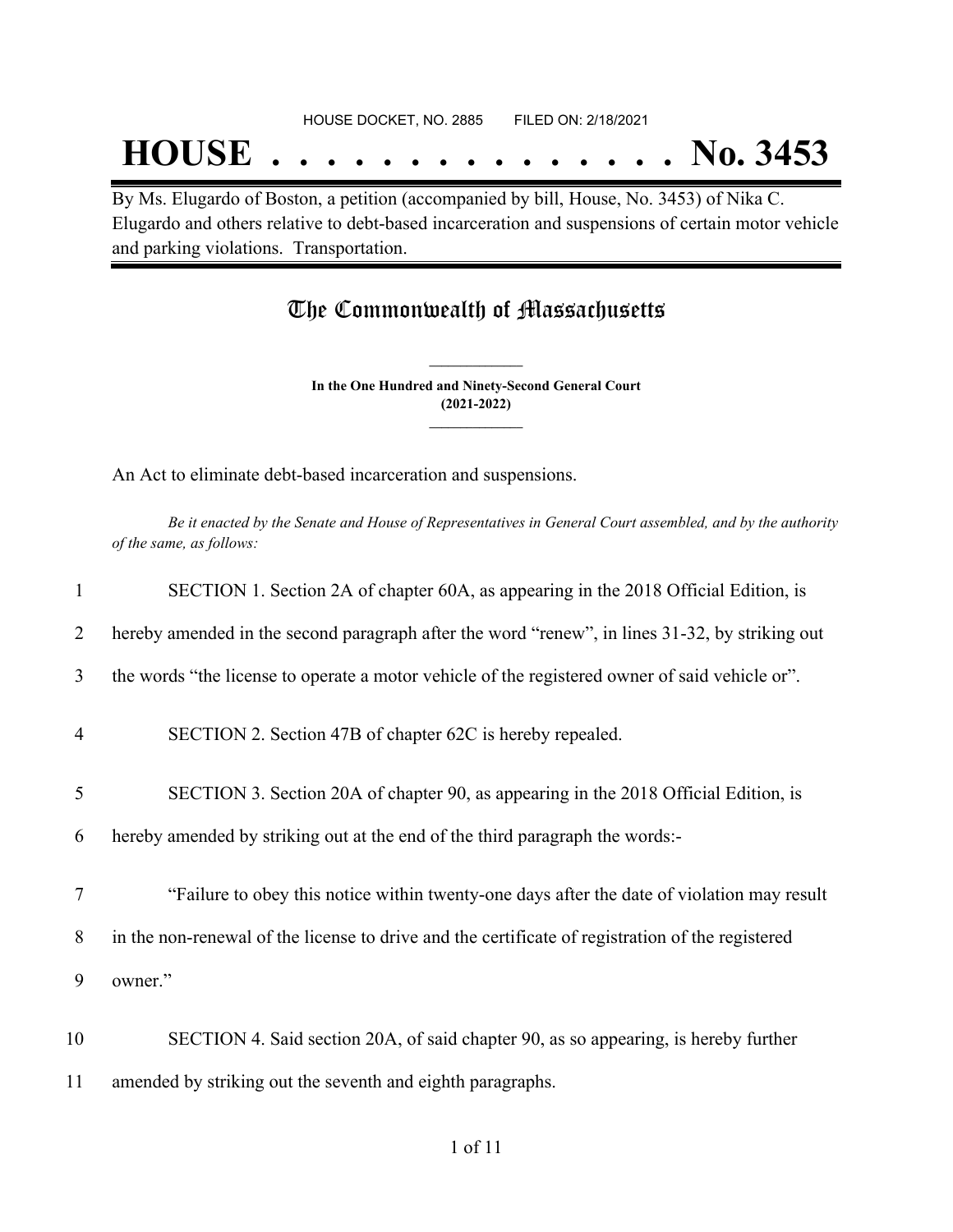## **HOUSE . . . . . . . . . . . . . . . No. 3453**

By Ms. Elugardo of Boston, a petition (accompanied by bill, House, No. 3453) of Nika C. Elugardo and others relative to debt-based incarceration and suspensions of certain motor vehicle and parking violations. Transportation.

### The Commonwealth of Massachusetts

**In the One Hundred and Ninety-Second General Court (2021-2022) \_\_\_\_\_\_\_\_\_\_\_\_\_\_\_**

**\_\_\_\_\_\_\_\_\_\_\_\_\_\_\_**

An Act to eliminate debt-based incarceration and suspensions.

Be it enacted by the Senate and House of Representatives in General Court assembled, and by the authority *of the same, as follows:*

| $\mathbf{1}$   | SECTION 1. Section 2A of chapter 60A, as appearing in the 2018 Official Edition, is              |
|----------------|--------------------------------------------------------------------------------------------------|
| 2              | hereby amended in the second paragraph after the word "renew", in lines 31-32, by striking out   |
| 3              | the words "the license to operate a motor vehicle of the registered owner of said vehicle or".   |
| $\overline{4}$ | SECTION 2. Section 47B of chapter 62C is hereby repealed.                                        |
| 5              | SECTION 3. Section 20A of chapter 90, as appearing in the 2018 Official Edition, is              |
| 6              | hereby amended by striking out at the end of the third paragraph the words:-                     |
| 7              | "Failure to obey this notice within twenty-one days after the date of violation may result       |
| 8              | in the non-renewal of the license to drive and the certificate of registration of the registered |
| 9              | owner."                                                                                          |
| 10             | SECTION 4. Said section 20A, of said chapter 90, as so appearing, is hereby further              |
| 11             | amended by striking out the seventh and eighth paragraphs.                                       |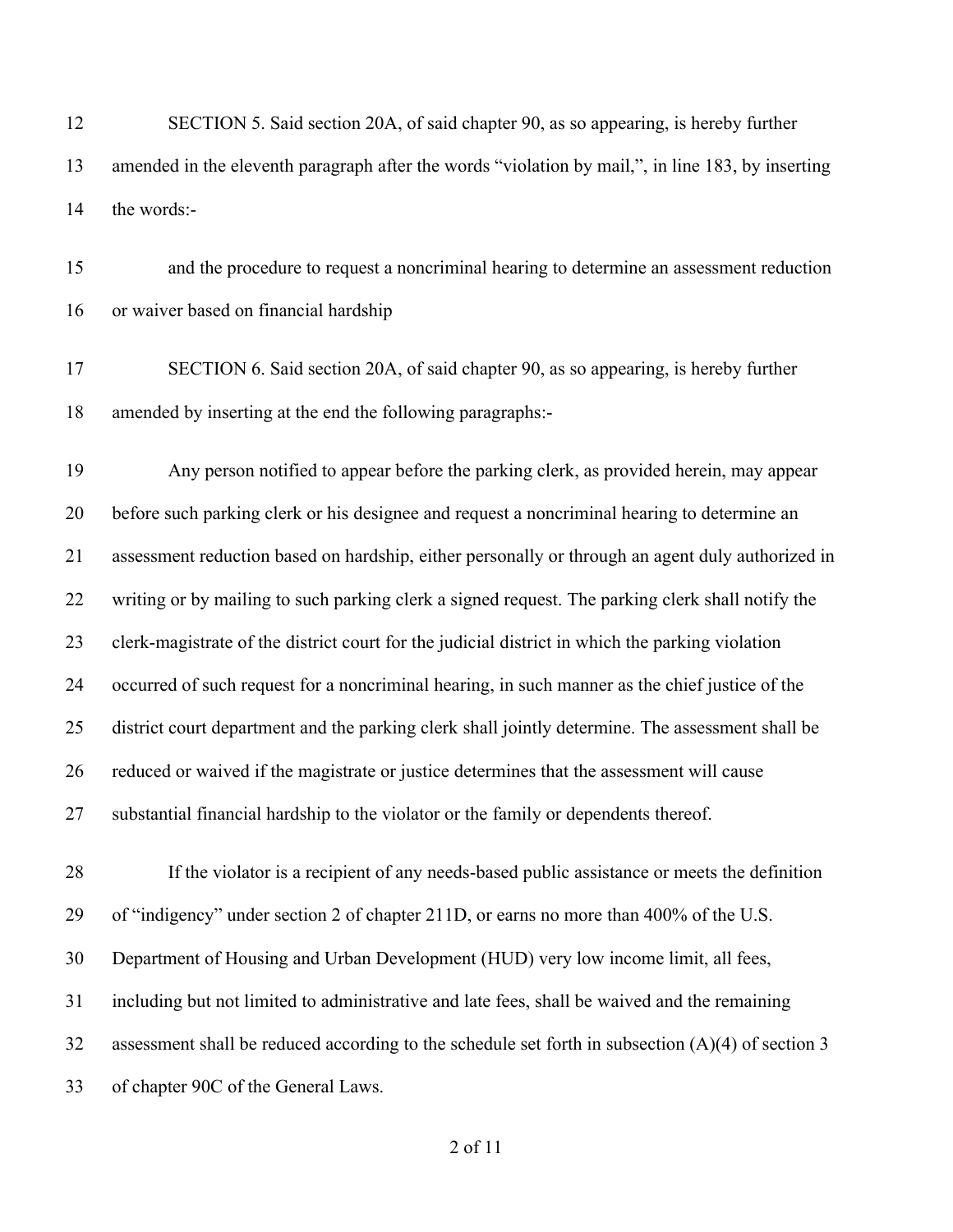SECTION 5. Said section 20A, of said chapter 90, as so appearing, is hereby further amended in the eleventh paragraph after the words "violation by mail,", in line 183, by inserting the words:-

 and the procedure to request a noncriminal hearing to determine an assessment reduction or waiver based on financial hardship

 SECTION 6. Said section 20A, of said chapter 90, as so appearing, is hereby further amended by inserting at the end the following paragraphs:-

 Any person notified to appear before the parking clerk, as provided herein, may appear before such parking clerk or his designee and request a noncriminal hearing to determine an assessment reduction based on hardship, either personally or through an agent duly authorized in writing or by mailing to such parking clerk a signed request. The parking clerk shall notify the clerk-magistrate of the district court for the judicial district in which the parking violation occurred of such request for a noncriminal hearing, in such manner as the chief justice of the district court department and the parking clerk shall jointly determine. The assessment shall be reduced or waived if the magistrate or justice determines that the assessment will cause substantial financial hardship to the violator or the family or dependents thereof.

 If the violator is a recipient of any needs-based public assistance or meets the definition of "indigency" under section 2 of chapter 211D, or earns no more than 400% of the U.S. Department of Housing and Urban Development (HUD) very low income limit, all fees, including but not limited to administrative and late fees, shall be waived and the remaining 32 assessment shall be reduced according to the schedule set forth in subsection  $(A)(4)$  of section 3 of chapter 90C of the General Laws.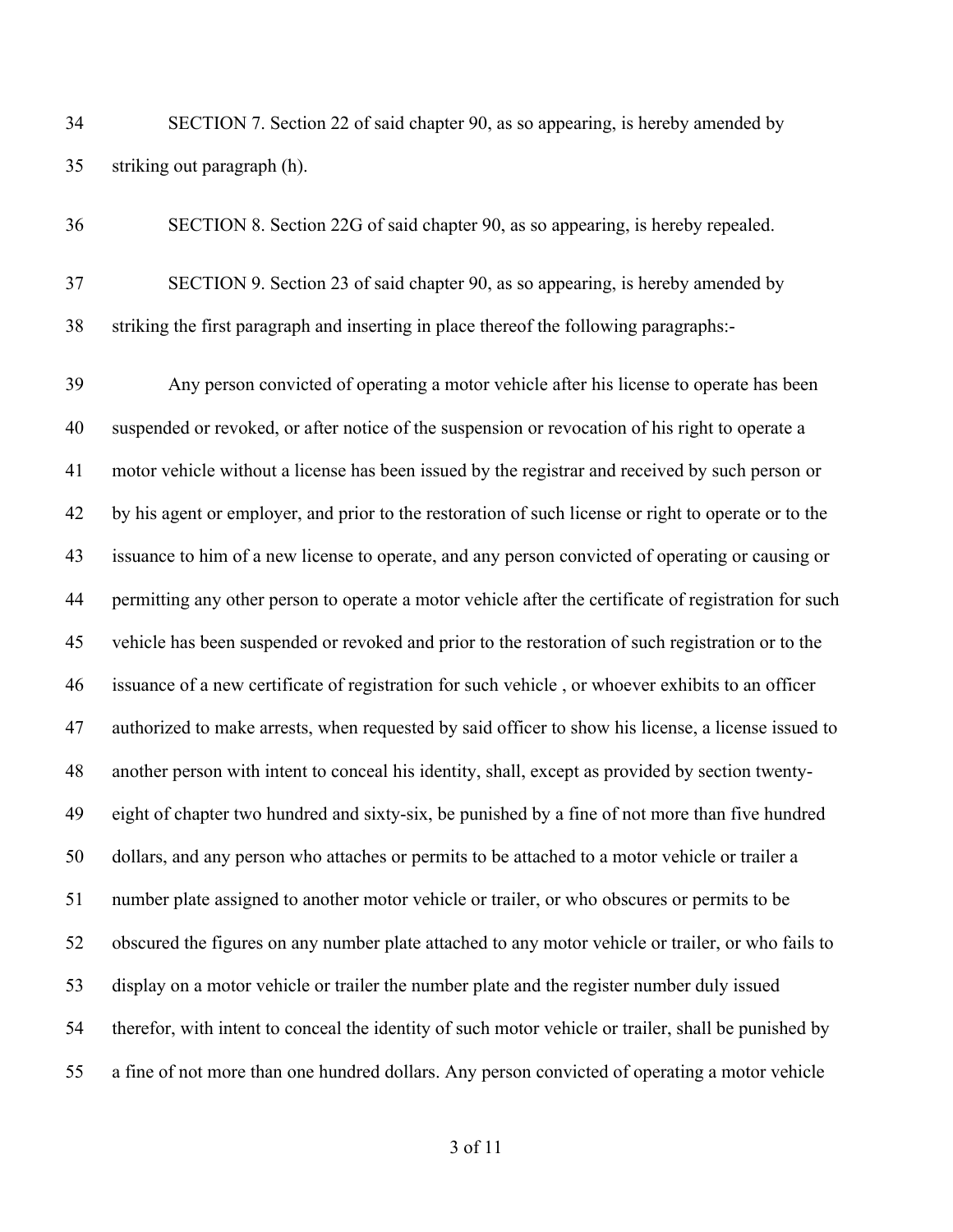SECTION 7. Section 22 of said chapter 90, as so appearing, is hereby amended by striking out paragraph (h).

 SECTION 8. Section 22G of said chapter 90, as so appearing, is hereby repealed. SECTION 9. Section 23 of said chapter 90, as so appearing, is hereby amended by striking the first paragraph and inserting in place thereof the following paragraphs:-

 Any person convicted of operating a motor vehicle after his license to operate has been suspended or revoked, or after notice of the suspension or revocation of his right to operate a motor vehicle without a license has been issued by the registrar and received by such person or by his agent or employer, and prior to the restoration of such license or right to operate or to the issuance to him of a new license to operate, and any person convicted of operating or causing or permitting any other person to operate a motor vehicle after the certificate of registration for such vehicle has been suspended or revoked and prior to the restoration of such registration or to the issuance of a new certificate of registration for such vehicle , or whoever exhibits to an officer authorized to make arrests, when requested by said officer to show his license, a license issued to another person with intent to conceal his identity, shall, except as provided by section twenty- eight of chapter two hundred and sixty-six, be punished by a fine of not more than five hundred dollars, and any person who attaches or permits to be attached to a motor vehicle or trailer a number plate assigned to another motor vehicle or trailer, or who obscures or permits to be obscured the figures on any number plate attached to any motor vehicle or trailer, or who fails to display on a motor vehicle or trailer the number plate and the register number duly issued therefor, with intent to conceal the identity of such motor vehicle or trailer, shall be punished by a fine of not more than one hundred dollars. Any person convicted of operating a motor vehicle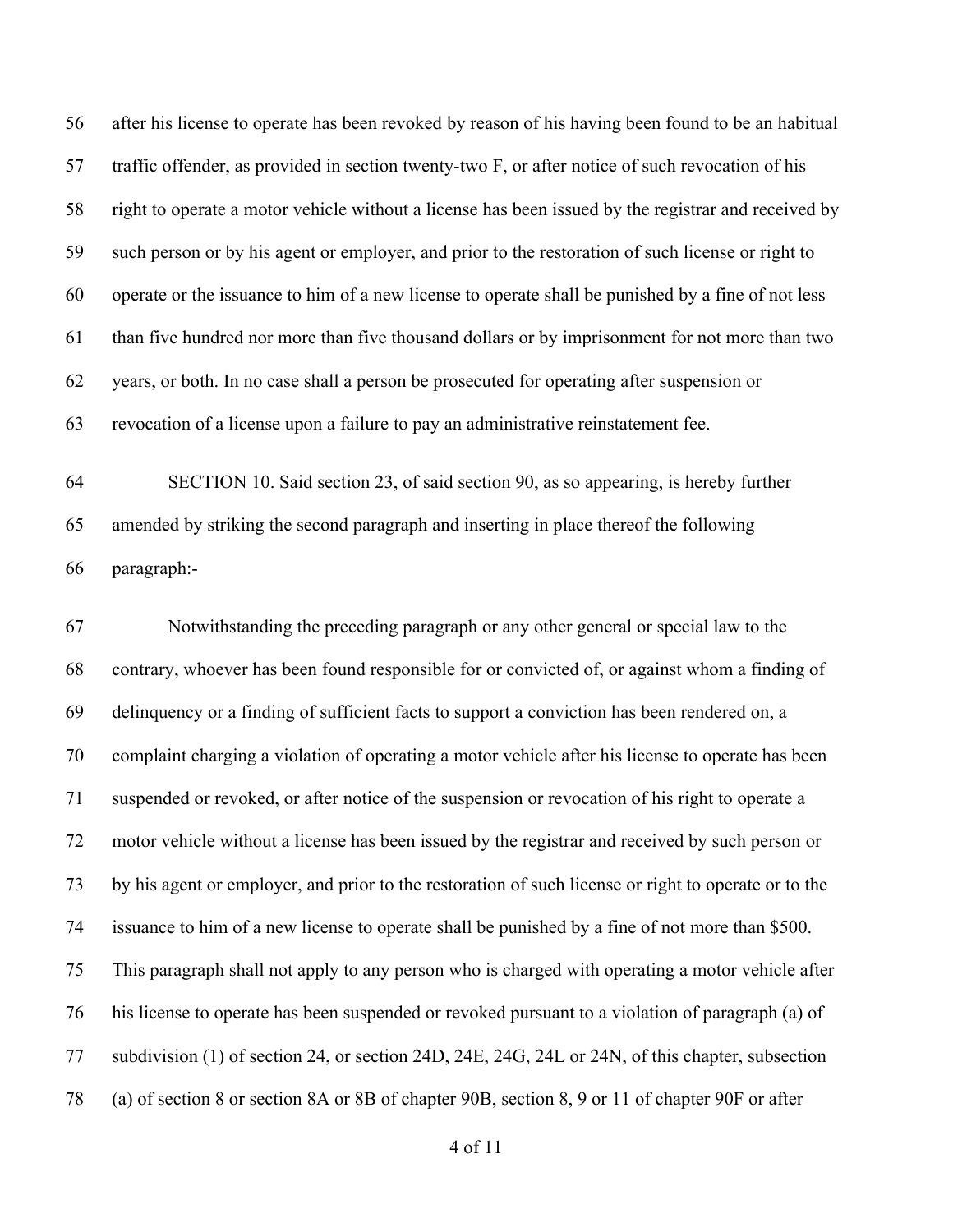after his license to operate has been revoked by reason of his having been found to be an habitual traffic offender, as provided in section twenty-two F, or after notice of such revocation of his right to operate a motor vehicle without a license has been issued by the registrar and received by such person or by his agent or employer, and prior to the restoration of such license or right to operate or the issuance to him of a new license to operate shall be punished by a fine of not less than five hundred nor more than five thousand dollars or by imprisonment for not more than two years, or both. In no case shall a person be prosecuted for operating after suspension or revocation of a license upon a failure to pay an administrative reinstatement fee.

 SECTION 10. Said section 23, of said section 90, as so appearing, is hereby further amended by striking the second paragraph and inserting in place thereof the following paragraph:-

 Notwithstanding the preceding paragraph or any other general or special law to the contrary, whoever has been found responsible for or convicted of, or against whom a finding of delinquency or a finding of sufficient facts to support a conviction has been rendered on, a complaint charging a violation of operating a motor vehicle after his license to operate has been suspended or revoked, or after notice of the suspension or revocation of his right to operate a motor vehicle without a license has been issued by the registrar and received by such person or by his agent or employer, and prior to the restoration of such license or right to operate or to the issuance to him of a new license to operate shall be punished by a fine of not more than \$500. This paragraph shall not apply to any person who is charged with operating a motor vehicle after his license to operate has been suspended or revoked pursuant to a violation of paragraph (a) of subdivision (1) of section 24, or section 24D, 24E, 24G, 24L or 24N, of this chapter, subsection (a) of section 8 or section 8A or 8B of chapter 90B, section 8, 9 or 11 of chapter 90F or after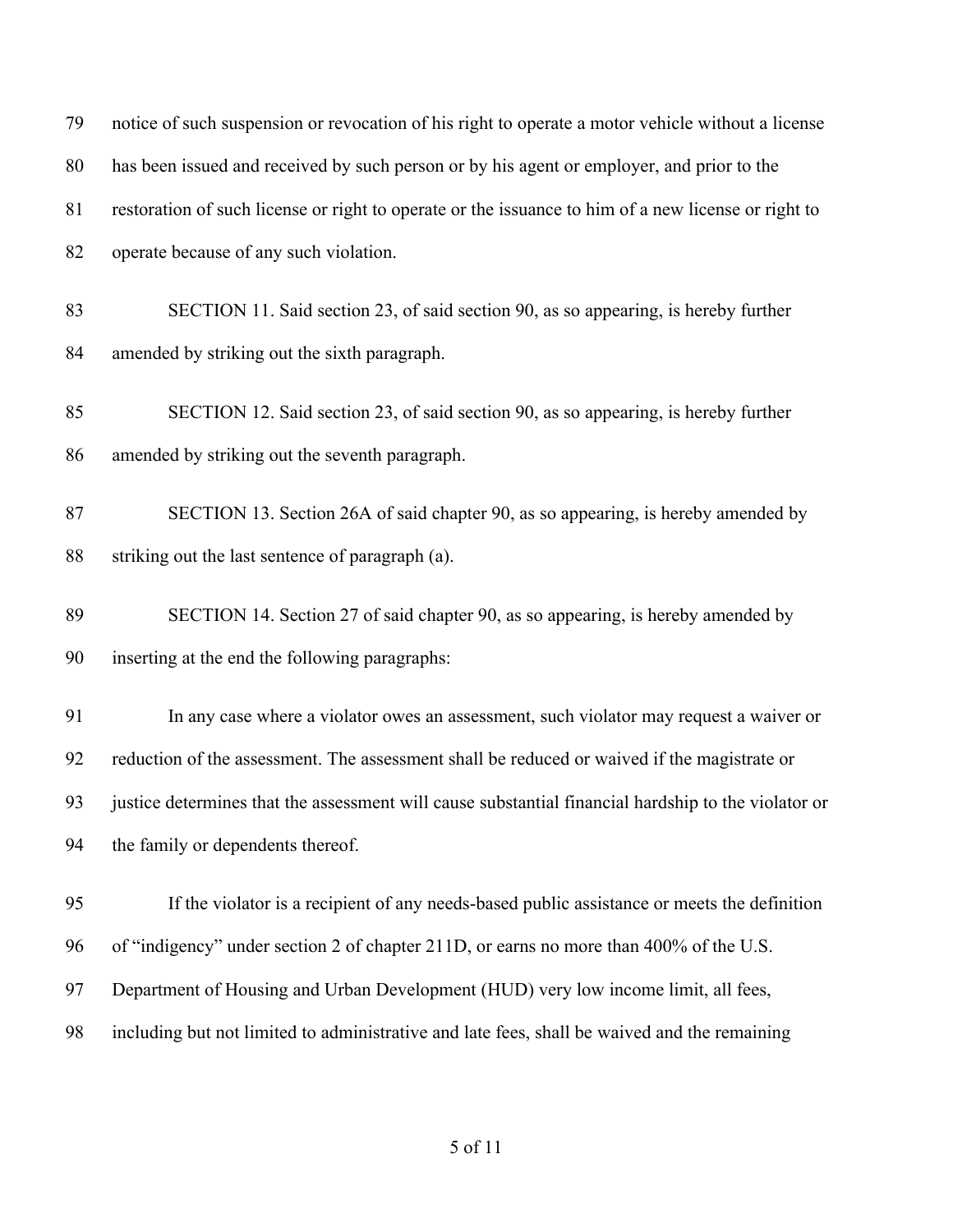| 79 | notice of such suspension or revocation of his right to operate a motor vehicle without a license   |
|----|-----------------------------------------------------------------------------------------------------|
| 80 | has been issued and received by such person or by his agent or employer, and prior to the           |
| 81 | restoration of such license or right to operate or the issuance to him of a new license or right to |
| 82 | operate because of any such violation.                                                              |
| 83 | SECTION 11. Said section 23, of said section 90, as so appearing, is hereby further                 |
| 84 | amended by striking out the sixth paragraph.                                                        |
| 85 | SECTION 12. Said section 23, of said section 90, as so appearing, is hereby further                 |
| 86 | amended by striking out the seventh paragraph.                                                      |
| 87 | SECTION 13. Section 26A of said chapter 90, as so appearing, is hereby amended by                   |
| 88 | striking out the last sentence of paragraph (a).                                                    |
| 89 | SECTION 14. Section 27 of said chapter 90, as so appearing, is hereby amended by                    |
| 90 | inserting at the end the following paragraphs:                                                      |
| 91 | In any case where a violator owes an assessment, such violator may request a waiver or              |
| 92 | reduction of the assessment. The assessment shall be reduced or waived if the magistrate or         |
| 93 | justice determines that the assessment will cause substantial financial hardship to the violator or |
| 94 | the family or dependents thereof.                                                                   |
| 95 | If the violator is a recipient of any needs-based public assistance or meets the definition         |
| 96 | of "indigency" under section 2 of chapter 211D, or earns no more than 400% of the U.S.              |
| 97 | Department of Housing and Urban Development (HUD) very low income limit, all fees,                  |
| 98 | including but not limited to administrative and late fees, shall be waived and the remaining        |
|    |                                                                                                     |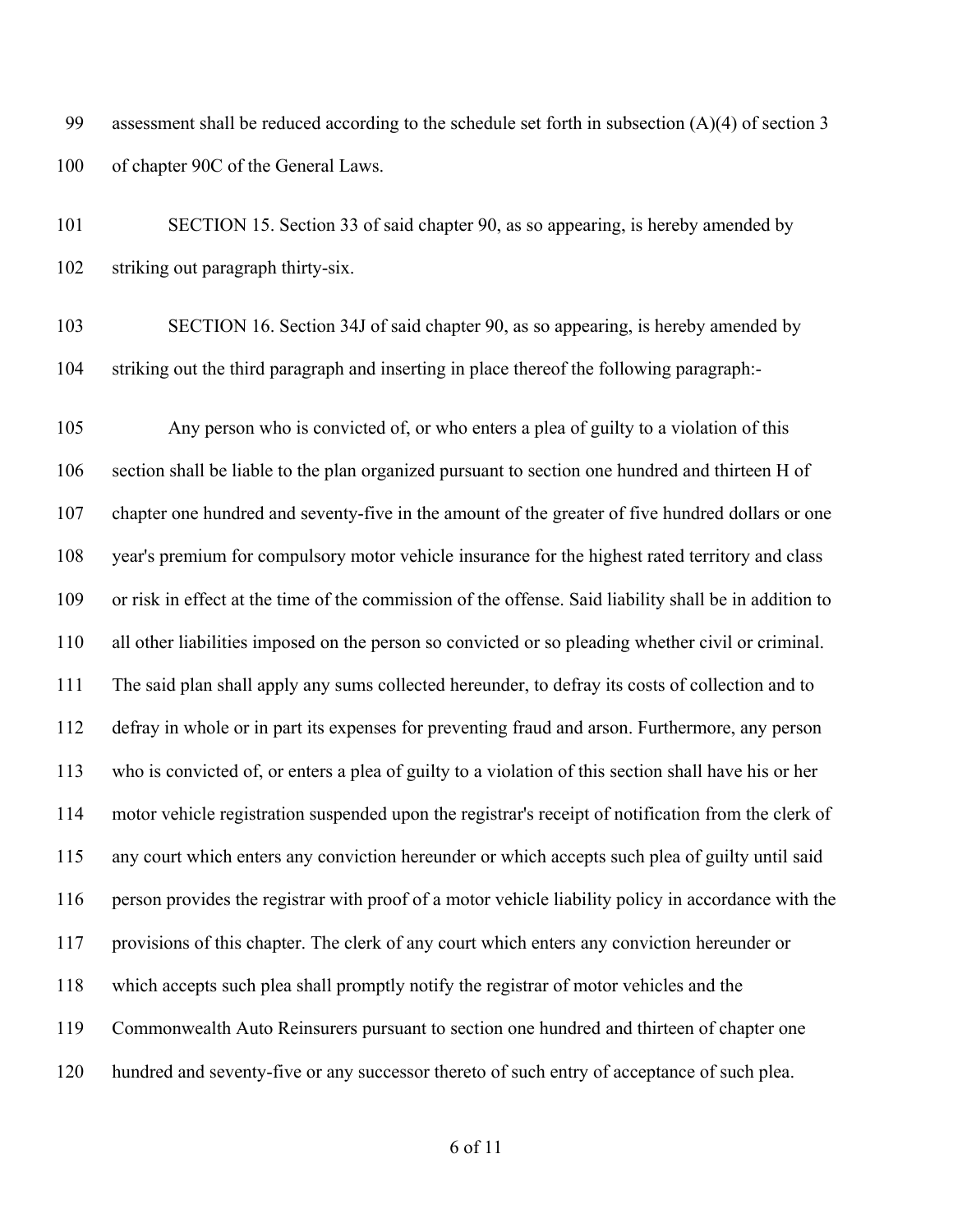assessment shall be reduced according to the schedule set forth in subsection (A)(4) of section 3 100 of chapter 90C of the General Laws.

 SECTION 15. Section 33 of said chapter 90, as so appearing, is hereby amended by striking out paragraph thirty-six.

 SECTION 16. Section 34J of said chapter 90, as so appearing, is hereby amended by striking out the third paragraph and inserting in place thereof the following paragraph:-

 Any person who is convicted of, or who enters a plea of guilty to a violation of this section shall be liable to the plan organized pursuant to section one hundred and thirteen H of chapter one hundred and seventy-five in the amount of the greater of five hundred dollars or one year's premium for compulsory motor vehicle insurance for the highest rated territory and class or risk in effect at the time of the commission of the offense. Said liability shall be in addition to all other liabilities imposed on the person so convicted or so pleading whether civil or criminal. The said plan shall apply any sums collected hereunder, to defray its costs of collection and to defray in whole or in part its expenses for preventing fraud and arson. Furthermore, any person who is convicted of, or enters a plea of guilty to a violation of this section shall have his or her motor vehicle registration suspended upon the registrar's receipt of notification from the clerk of any court which enters any conviction hereunder or which accepts such plea of guilty until said person provides the registrar with proof of a motor vehicle liability policy in accordance with the provisions of this chapter. The clerk of any court which enters any conviction hereunder or which accepts such plea shall promptly notify the registrar of motor vehicles and the Commonwealth Auto Reinsurers pursuant to section one hundred and thirteen of chapter one hundred and seventy-five or any successor thereto of such entry of acceptance of such plea.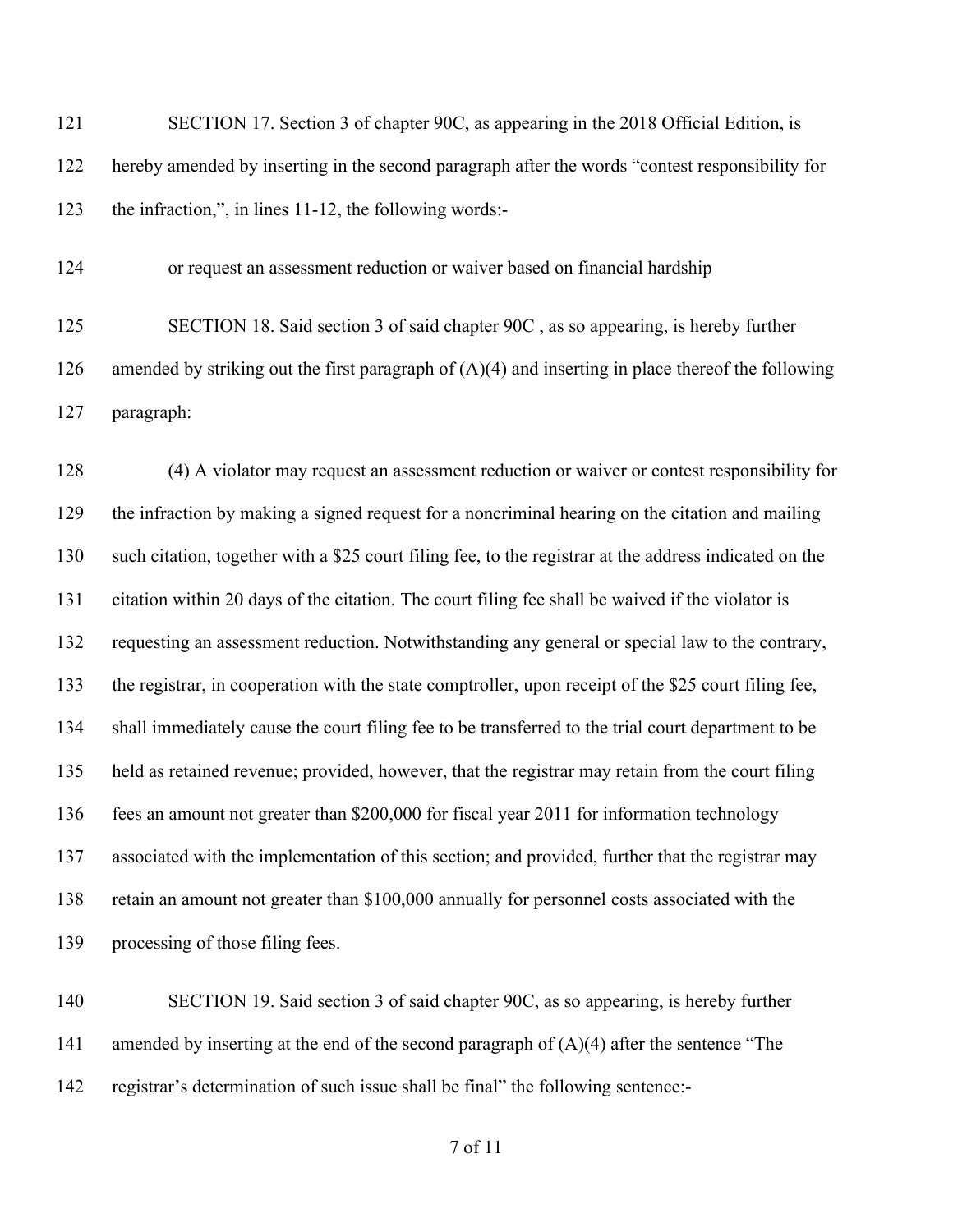121 SECTION 17. Section 3 of chapter 90C, as appearing in the 2018 Official Edition, is hereby amended by inserting in the second paragraph after the words "contest responsibility for the infraction,", in lines 11-12, the following words:-

or request an assessment reduction or waiver based on financial hardship

 SECTION 18. Said section 3 of said chapter 90C , as so appearing, is hereby further 126 amended by striking out the first paragraph of  $(A)(4)$  and inserting in place thereof the following paragraph:

 (4) A violator may request an assessment reduction or waiver or contest responsibility for the infraction by making a signed request for a noncriminal hearing on the citation and mailing such citation, together with a \$25 court filing fee, to the registrar at the address indicated on the citation within 20 days of the citation. The court filing fee shall be waived if the violator is requesting an assessment reduction. Notwithstanding any general or special law to the contrary, the registrar, in cooperation with the state comptroller, upon receipt of the \$25 court filing fee, shall immediately cause the court filing fee to be transferred to the trial court department to be held as retained revenue; provided, however, that the registrar may retain from the court filing fees an amount not greater than \$200,000 for fiscal year 2011 for information technology associated with the implementation of this section; and provided, further that the registrar may retain an amount not greater than \$100,000 annually for personnel costs associated with the processing of those filing fees.

 SECTION 19. Said section 3 of said chapter 90C, as so appearing, is hereby further 141 amended by inserting at the end of the second paragraph of  $(A)(4)$  after the sentence "The registrar's determination of such issue shall be final" the following sentence:-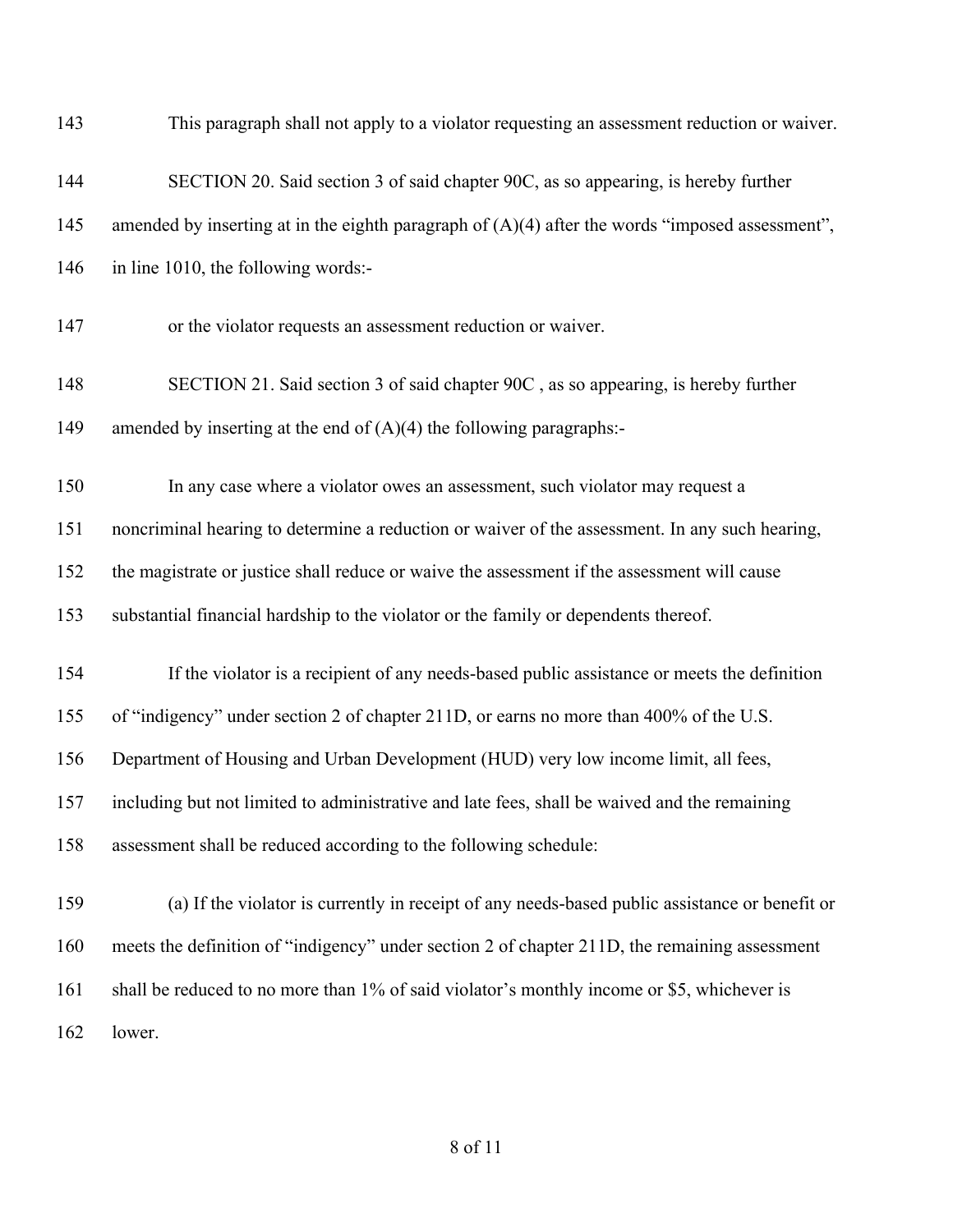| 143 | This paragraph shall not apply to a violator requesting an assessment reduction or waiver.        |
|-----|---------------------------------------------------------------------------------------------------|
| 144 | SECTION 20. Said section 3 of said chapter 90C, as so appearing, is hereby further                |
| 145 | amended by inserting at in the eighth paragraph of $(A)(4)$ after the words "imposed assessment", |
| 146 | in line 1010, the following words:-                                                               |
| 147 | or the violator requests an assessment reduction or waiver.                                       |
| 148 | SECTION 21. Said section 3 of said chapter 90C, as so appearing, is hereby further                |
| 149 | amended by inserting at the end of $(A)(4)$ the following paragraphs:-                            |
| 150 | In any case where a violator owes an assessment, such violator may request a                      |
| 151 | noncriminal hearing to determine a reduction or waiver of the assessment. In any such hearing,    |
| 152 | the magistrate or justice shall reduce or waive the assessment if the assessment will cause       |
| 153 | substantial financial hardship to the violator or the family or dependents thereof.               |
| 154 | If the violator is a recipient of any needs-based public assistance or meets the definition       |
| 155 | of "indigency" under section 2 of chapter 211D, or earns no more than 400% of the U.S.            |
| 156 | Department of Housing and Urban Development (HUD) very low income limit, all fees,                |
| 157 | including but not limited to administrative and late fees, shall be waived and the remaining      |
| 158 | assessment shall be reduced according to the following schedule:                                  |
| 159 | (a) If the violator is currently in receipt of any needs-based public assistance or benefit or    |
| 160 | meets the definition of "indigency" under section 2 of chapter 211D, the remaining assessment     |
| 161 | shall be reduced to no more than 1% of said violator's monthly income or \$5, whichever is        |
| 162 | lower.                                                                                            |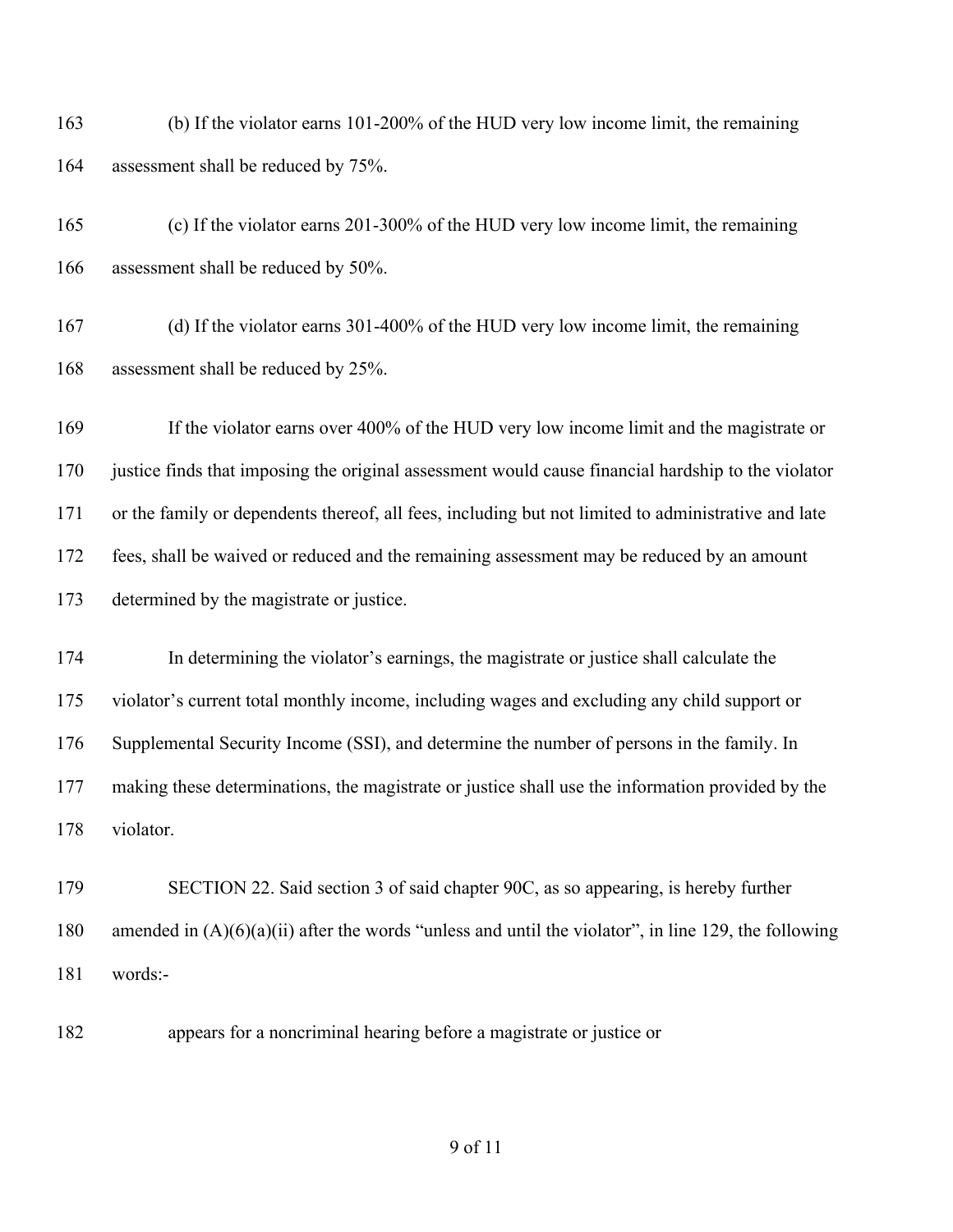(b) If the violator earns 101-200% of the HUD very low income limit, the remaining assessment shall be reduced by 75%.

 (c) If the violator earns 201-300% of the HUD very low income limit, the remaining assessment shall be reduced by 50%.

 (d) If the violator earns 301-400% of the HUD very low income limit, the remaining assessment shall be reduced by 25%.

 If the violator earns over 400% of the HUD very low income limit and the magistrate or justice finds that imposing the original assessment would cause financial hardship to the violator or the family or dependents thereof, all fees, including but not limited to administrative and late fees, shall be waived or reduced and the remaining assessment may be reduced by an amount determined by the magistrate or justice.

 In determining the violator's earnings, the magistrate or justice shall calculate the violator's current total monthly income, including wages and excluding any child support or Supplemental Security Income (SSI), and determine the number of persons in the family. In making these determinations, the magistrate or justice shall use the information provided by the violator.

 SECTION 22. Said section 3 of said chapter 90C, as so appearing, is hereby further amended in (A)(6)(a)(ii) after the words "unless and until the violator", in line 129, the following words:-

appears for a noncriminal hearing before a magistrate or justice or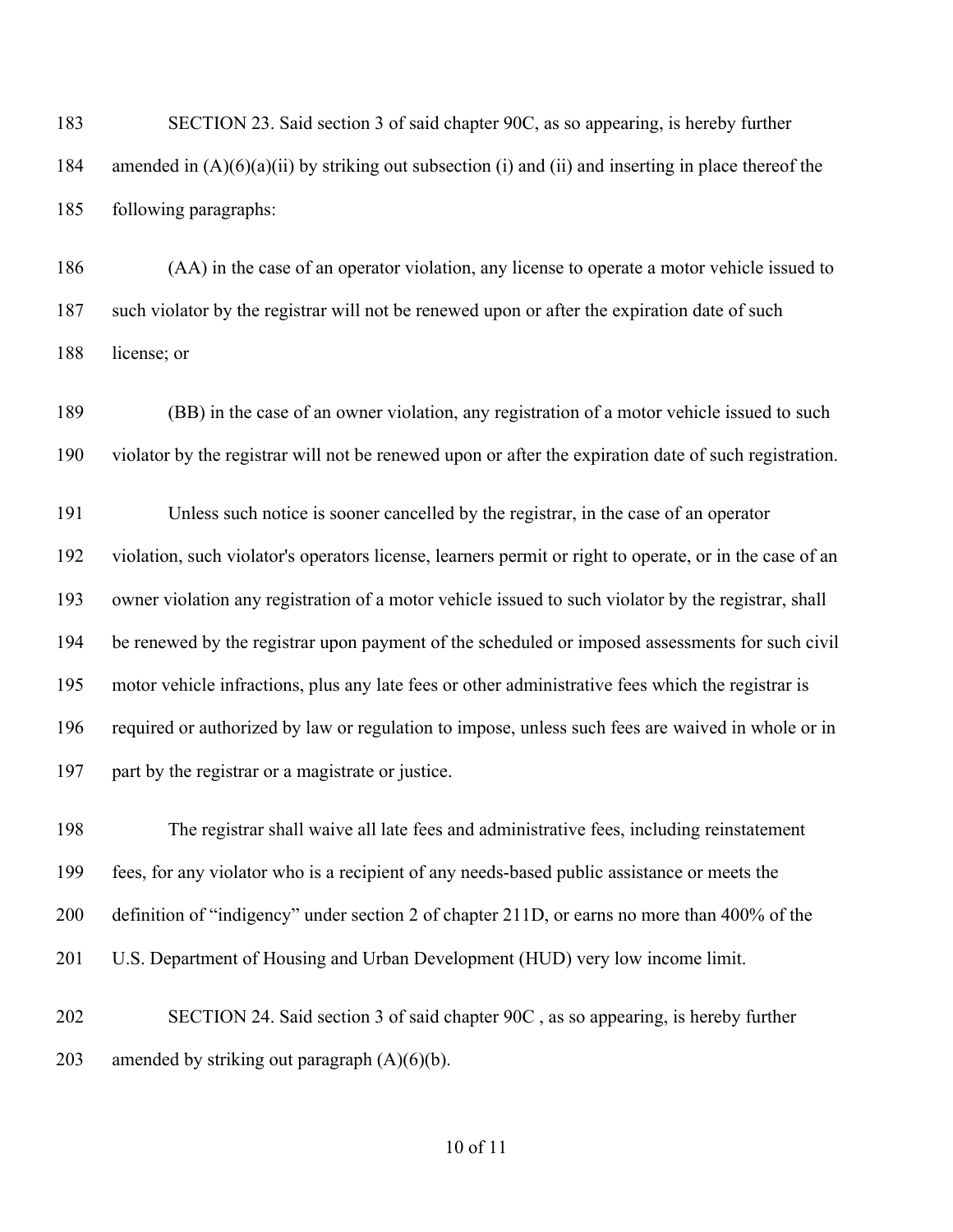SECTION 23. Said section 3 of said chapter 90C, as so appearing, is hereby further amended in (A)(6)(a)(ii) by striking out subsection (i) and (ii) and inserting in place thereof the following paragraphs:

 (AA) in the case of an operator violation, any license to operate a motor vehicle issued to such violator by the registrar will not be renewed upon or after the expiration date of such license; or

 (BB) in the case of an owner violation, any registration of a motor vehicle issued to such violator by the registrar will not be renewed upon or after the expiration date of such registration.

 Unless such notice is sooner cancelled by the registrar, in the case of an operator violation, such violator's operators license, learners permit or right to operate, or in the case of an owner violation any registration of a motor vehicle issued to such violator by the registrar, shall be renewed by the registrar upon payment of the scheduled or imposed assessments for such civil motor vehicle infractions, plus any late fees or other administrative fees which the registrar is required or authorized by law or regulation to impose, unless such fees are waived in whole or in part by the registrar or a magistrate or justice.

 The registrar shall waive all late fees and administrative fees, including reinstatement fees, for any violator who is a recipient of any needs-based public assistance or meets the definition of "indigency" under section 2 of chapter 211D, or earns no more than 400% of the U.S. Department of Housing and Urban Development (HUD) very low income limit. SECTION 24. Said section 3 of said chapter 90C , as so appearing, is hereby further

203 amended by striking out paragraph  $(A)(6)(b)$ .